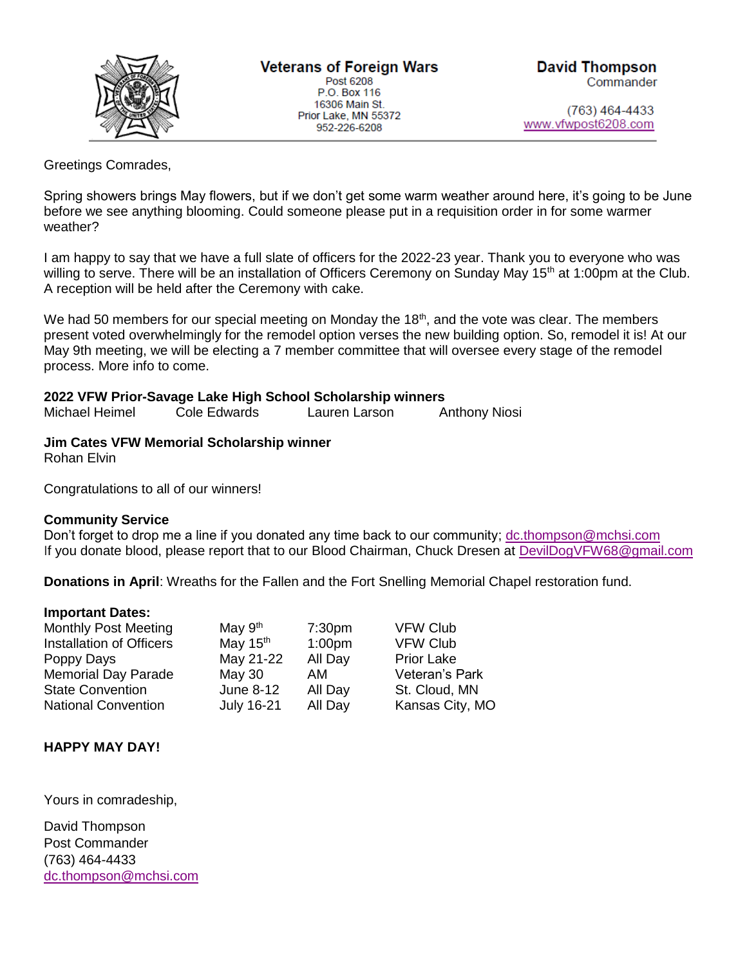

952-226-6208

 $(763)$  464-4433 www.vfwpost6208.com

## Greetings Comrades,

Spring showers brings May flowers, but if we don't get some warm weather around here, it's going to be June before we see anything blooming. Could someone please put in a requisition order in for some warmer weather?

I am happy to say that we have a full slate of officers for the 2022-23 year. Thank you to everyone who was willing to serve. There will be an installation of Officers Ceremony on Sunday May 15<sup>th</sup> at 1:00pm at the Club. A reception will be held after the Ceremony with cake.

We had 50 members for our special meeting on Monday the  $18<sup>th</sup>$ , and the vote was clear. The members present voted overwhelmingly for the remodel option verses the new building option. So, remodel it is! At our May 9th meeting, we will be electing a 7 member committee that will oversee every stage of the remodel process. More info to come.

#### **2022 VFW Prior-Savage Lake High School Scholarship winners**

| Michael Heimel | Cole Edwards | Lauren Larson | <b>Anthony Niosi</b> |
|----------------|--------------|---------------|----------------------|

## **Jim Cates VFW Memorial Scholarship winner**

Rohan Elvin

Congratulations to all of our winners!

#### **Community Service**

Don't forget to drop me a line if you donated any time back to our community; [dc.thompson@mchsi.com](mailto:dc.thompson@mchsi.com) If you donate blood, please report that to our Blood Chairman, Chuck Dresen at [DevilDogVFW68@gmail.com](mailto:DevilDogVFW68@gmail.com)

**Donations in April**: Wreaths for the Fallen and the Fort Snelling Memorial Chapel restoration fund.

#### **Important Dates:**

| <b>Monthly Post Meeting</b>     | May 9 <sup>th</sup> | 7:30 <sub>pm</sub> | <b>VFW Club</b>       |
|---------------------------------|---------------------|--------------------|-----------------------|
| <b>Installation of Officers</b> | May 15th            | 1:00 <sub>pm</sub> | <b>VFW Club</b>       |
| Poppy Days                      | May 21-22           | All Day            | <b>Prior Lake</b>     |
| <b>Memorial Day Parade</b>      | May 30              | AM                 | <b>Veteran's Park</b> |
| <b>State Convention</b>         | June 8-12           | All Day            | St. Cloud, MN         |
| <b>National Convention</b>      | <b>July 16-21</b>   | All Day            | Kansas City, MO       |

# **HAPPY MAY DAY!**

Yours in comradeship,

David Thompson Post Commander (763) 464-4433 [dc.thompson@mchsi.com](mailto:dc.thompson@mchsi.com)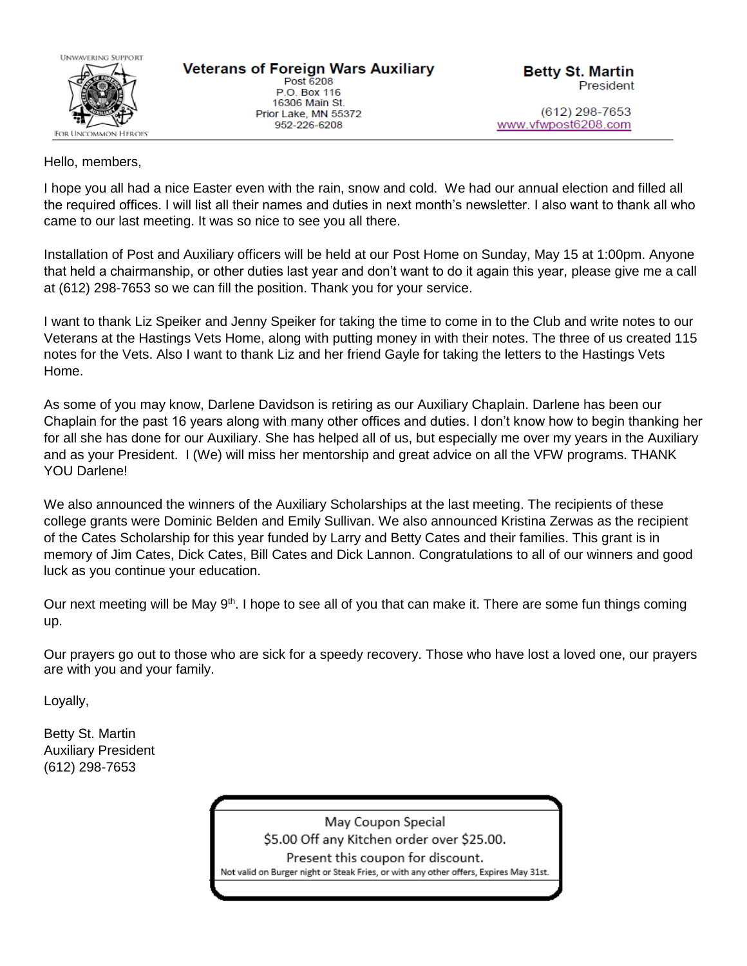

 $(612)$  298-7653 www.vfwpost6208.com

Hello, members,

I hope you all had a nice Easter even with the rain, snow and cold. We had our annual election and filled all the required offices. I will list all their names and duties in next month's newsletter. I also want to thank all who came to our last meeting. It was so nice to see you all there.

Installation of Post and Auxiliary officers will be held at our Post Home on Sunday, May 15 at 1:00pm. Anyone that held a chairmanship, or other duties last year and don't want to do it again this year, please give me a call at (612) 298-7653 so we can fill the position. Thank you for your service.

I want to thank Liz Speiker and Jenny Speiker for taking the time to come in to the Club and write notes to our Veterans at the Hastings Vets Home, along with putting money in with their notes. The three of us created 115 notes for the Vets. Also I want to thank Liz and her friend Gayle for taking the letters to the Hastings Vets Home.

As some of you may know, Darlene Davidson is retiring as our Auxiliary Chaplain. Darlene has been our Chaplain for the past 16 years along with many other offices and duties. I don't know how to begin thanking her for all she has done for our Auxiliary. She has helped all of us, but especially me over my years in the Auxiliary and as your President. I (We) will miss her mentorship and great advice on all the VFW programs. THANK YOU Darlene!

We also announced the winners of the Auxiliary Scholarships at the last meeting. The recipients of these college grants were Dominic Belden and Emily Sullivan. We also announced Kristina Zerwas as the recipient of the Cates Scholarship for this year funded by Larry and Betty Cates and their families. This grant is in memory of Jim Cates, Dick Cates, Bill Cates and Dick Lannon. Congratulations to all of our winners and good luck as you continue your education.

Our next meeting will be May  $9<sup>th</sup>$ . I hope to see all of you that can make it. There are some fun things coming up.

Our prayers go out to those who are sick for a speedy recovery. Those who have lost a loved one, our prayers are with you and your family.

Loyally,

Betty St. Martin Auxiliary President (612) 298-7653

> May Coupon Special \$5.00 Off any Kitchen order over \$25.00. Present this coupon for discount. Not valid on Burger night or Steak Fries, or with any other offers, Expires May 31st.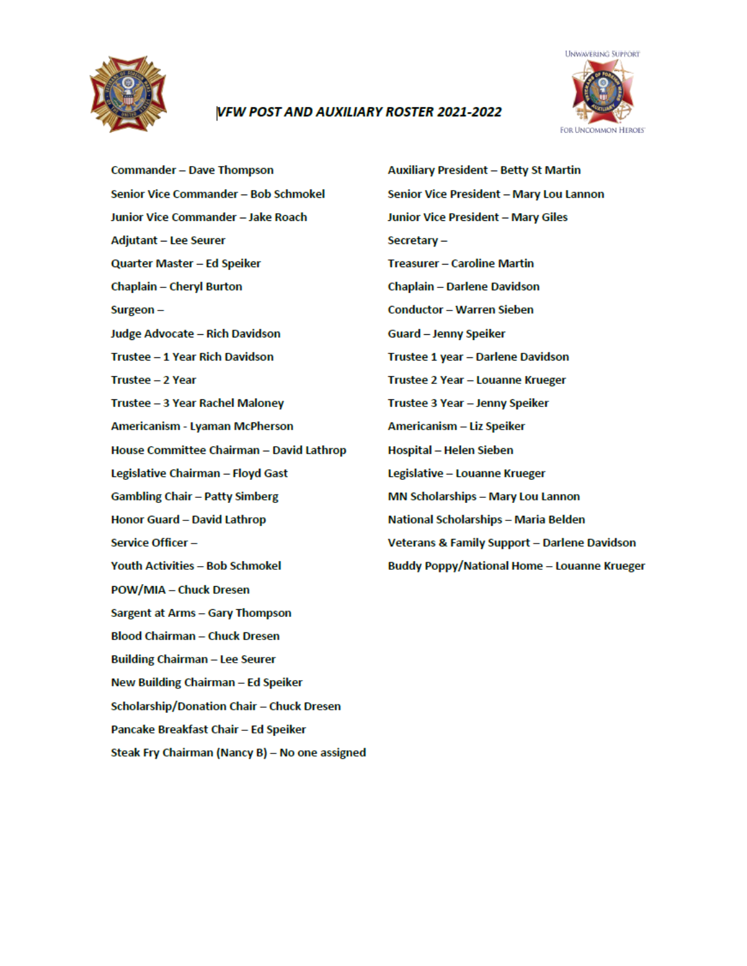

## **VFW POST AND AUXILIARY ROSTER 2021-2022**



**Commander - Dave Thompson** Senior Vice Commander - Bob Schmokel **Junior Vice Commander – Jake Roach Adjutant - Lee Seurer** Quarter Master - Ed Speiker **Chaplain - Cheryl Burton** Surgeon-**Judge Advocate - Rich Davidson** Trustee - 1 Year Rich Davidson Trustee - 2 Year Trustee - 3 Year Rachel Maloney **Americanism - Lyaman McPherson** House Committee Chairman - David Lathrop Legislative Chairman - Floyd Gast **Gambling Chair - Patty Simberg Honor Guard - David Lathrop** Service Officer-**Youth Activities - Bob Schmokel** POW/MIA - Chuck Dresen **Sargent at Arms - Gary Thompson Blood Chairman - Chuck Dresen Building Chairman - Lee Seurer New Building Chairman - Ed Speiker** Scholarship/Donation Chair - Chuck Dresen Pancake Breakfast Chair - Ed Speiker

Steak Fry Chairman (Nancy B) - No one assigned

**Auxiliary President - Betty St Martin** Senior Vice President - Mary Lou Lannon **Junior Vice President - Mary Giles** Secretary-**Treasurer - Caroline Martin Chaplain - Darlene Davidson Conductor - Warren Sieben Guard - Jenny Speiker** Trustee 1 year - Darlene Davidson Trustee 2 Year - Louanne Krueger Trustee 3 Year - Jenny Speiker **Americanism - Liz Speiker** Hospital - Helen Sieben Legislative - Louanne Krueger **MN Scholarships - Mary Lou Lannon** National Scholarships - Maria Belden **Veterans & Family Support - Darlene Davidson Buddy Poppy/National Home - Louanne Krueger**